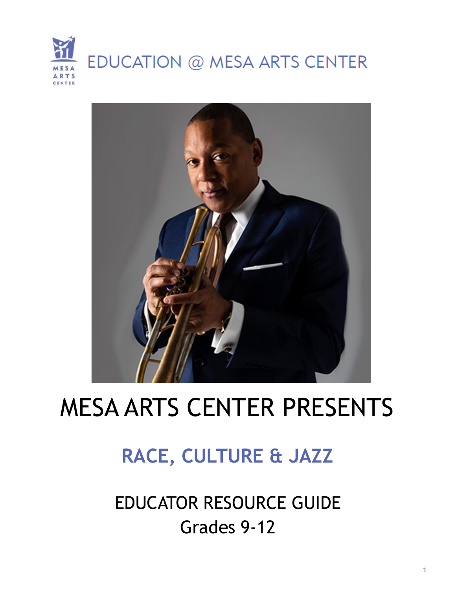



# MESA ARTS CENTER PRESENTS

## **RACE, CULTURE & JAZZ**

EDUCATOR RESOURCE GUIDE Grades 9-12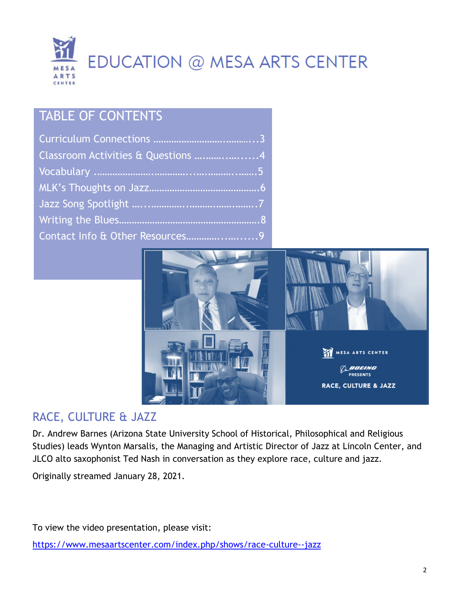

## TABLE OF CONTENTS

| Classroom Activities & Questions 4 |
|------------------------------------|
|                                    |
|                                    |
|                                    |
|                                    |
|                                    |



### RACE, CULTURE & JAZZ

Dr. Andrew Barnes (Arizona State University School of Historical, Philosophical and Religious Studies) leads Wynton Marsalis, the Managing and Artistic Director of Jazz at Lincoln Center, and JLCO alto saxophonist Ted Nash in conversation as they explore race, culture and jazz.

Originally streamed January 28, 2021.

To view the video presentation, please visit:

[https://www.mesaartscenter.com/index.php/shows/race](https://www.mesaartscenter.com/index.php/shows/race-culture--jazz)-culture--jazz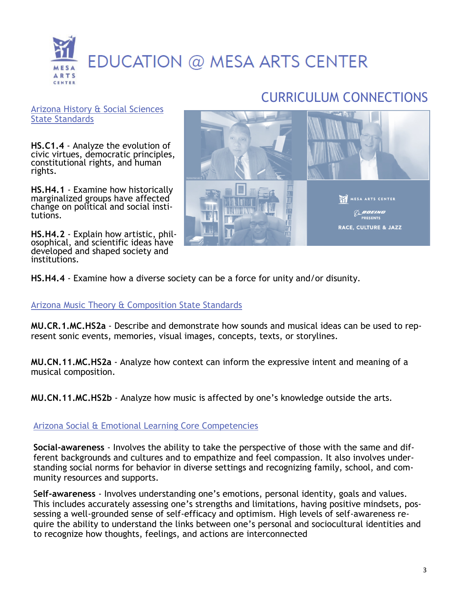

#### Arizona History & Social Sciences State Standards

**HS.C1.4** - Analyze the evolution of civic virtues, democratic principles, constitutional rights, and human rights.

**HS.H4.1** - Examine how historically marginalized groups have affected change on political and social institutions.

**HS.H4.2** - Explain how artistic, philosophical, and scientific ideas have developed and shaped society and institutions.

## CURRICULUM CONNECTIONS



**HS.H4.4** - Examine how a diverse society can be a force for unity and/or disunity.

#### Arizona Music Theory & Composition State Standards

**MU.CR.1.MC.HS2a** - Describe and demonstrate how sounds and musical ideas can be used to represent sonic events, memories, visual images, concepts, texts, or storylines.

**MU.CN.11.MC.HS2a** - Analyze how context can inform the expressive intent and meaning of a musical composition.

**MU.CN.11.MC.HS2b** - Analyze how music is affected by one's knowledge outside the arts.

Arizona Social & Emotional Learning Core Competencies

**Social-awareness** - Involves the ability to take the perspective of those with the same and different backgrounds and cultures and to empathize and feel compassion. It also involves understanding social norms for behavior in diverse settings and recognizing family, school, and community resources and supports.

S**elf-awareness** - Involves understanding one's emotions, personal identity, goals and values. This includes accurately assessing one's strengths and limitations, having positive mindsets, possessing a well-grounded sense of self-efficacy and optimism. High levels of self-awareness require the ability to understand the links between one's personal and sociocultural identities and to recognize how thoughts, feelings, and actions are interconnected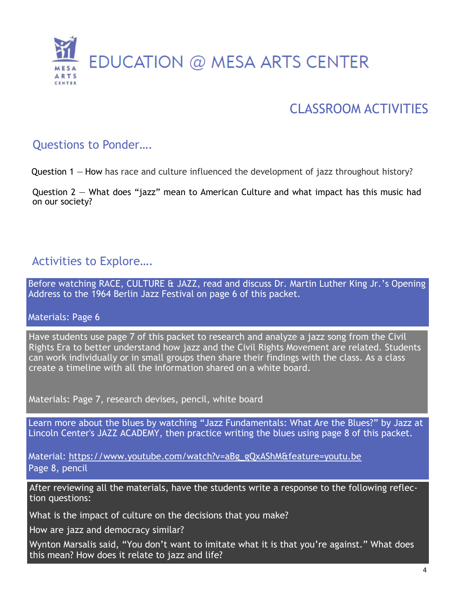

## CLASSROOM ACTIVITIES

#### Questions to Ponder….

Question 1 – How has race and culture influenced the development of jazz throughout history?

Question 2 — What does "jazz" mean to American Culture and what impact has this music had on our society?

#### Activities to Explore….

Before watching RACE, CULTURE & JAZZ, read and discuss Dr. Martin Luther King Jr.'s Opening Address to the 1964 Berlin Jazz Festival on page 6 of this packet.

#### Materials: Page 6

Have students use page 7 of this packet to research and analyze a jazz song from the Civil Rights Era to better understand how jazz and the Civil Rights Movement are related. Students can work individually or in small groups then share their findings with the class. As a class create a timeline with all the information shared on a white board.

Materials: Page 7, research devises, pencil, white board

Learn more about the blues by watching "Jazz Fundamentals: What Are the Blues?" by Jazz at Lincoln Center's JAZZ ACADEMY, then practice writing the blues using page 8 of this packet.

Material: [https://www.youtube.com/watch?v=aBg\\_gQxAShM&feature=youtu.be](https://www.youtube.com/watch?v=aBg_gQxAShM&feature=youtu.be) Page 8, pencil

After reviewing all the materials, have the students write a response to the following reflection questions:

What is the impact of culture on the decisions that you make?

How are jazz and democracy similar?

Wynton Marsalis said, "You don't want to imitate what it is that you're against." What does this mean? How does it relate to jazz and life?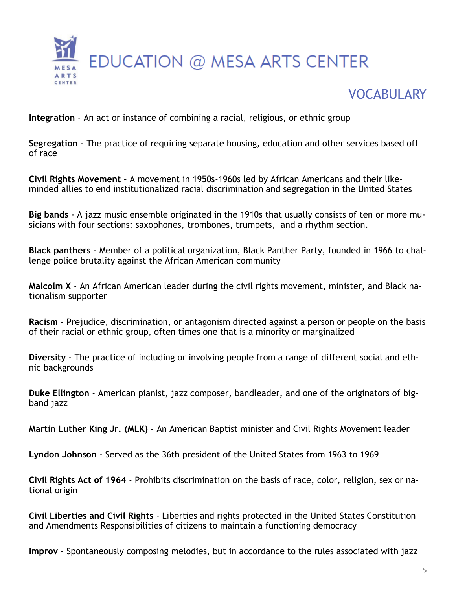

## VOCABULARY

**Integration** - An act or instance of combining a racial, religious, or ethnic group

**Segregation** - The practice of requiring separate housing, education and other services based off of race

**Civil Rights Movement** – A movement in 1950s-1960s led by African Americans and their likeminded allies to end institutionalized racial discrimination and segregation in the United States

**Big bands** - A jazz music ensemble originated in the 1910s that usually consists of ten or more musicians with four sections: saxophones, trombones, trumpets, and a rhythm section.

**Black panthers** - Member of a political organization, Black Panther Party, founded in 1966 to challenge police brutality against the African American community

**Malcolm X** - An African American leader during the civil rights movement, minister, and Black nationalism supporter

**Racism** - Prejudice, discrimination, or antagonism directed against a person or people on the basis of their racial or ethnic group, often times one that is a minority or marginalized

**Diversity** - The practice of including or involving people from a range of different social and ethnic backgrounds

**Duke Ellington** - American pianist, jazz composer, bandleader, and one of the originators of bigband jazz

**Martin Luther King Jr. (MLK)** - An American Baptist minister and Civil Rights Movement leader

**Lyndon Johnson** - Served as the 36th president of the United States from 1963 to 1969

**Civil Rights Act of 1964** - Prohibits discrimination on the basis of race, color, religion, sex or national origin

**Civil Liberties and Civil Rights** - Liberties and rights protected in the United States Constitution and Amendments Responsibilities of citizens to maintain a functioning democracy

**Improv** - Spontaneously composing melodies, but in accordance to the rules associated with jazz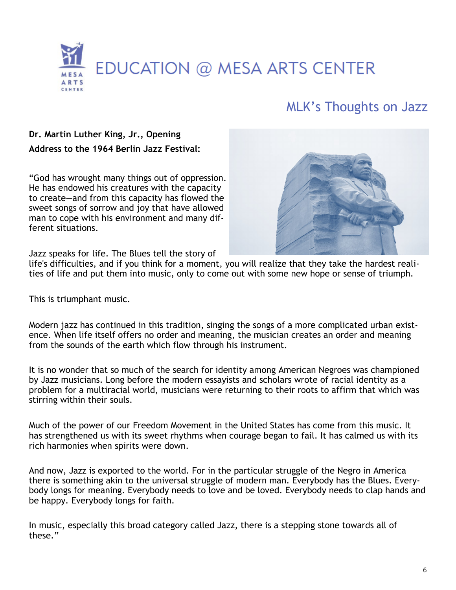

## MLK's Thoughts on Jazz

#### **Dr. Martin Luther King, Jr., Opening Address to the 1964 Berlin Jazz Festival:**

"God has wrought many things out of oppression. He has endowed his creatures with the capacity to create—and from this capacity has flowed the sweet songs of sorrow and joy that have allowed man to cope with his environment and many different situations.



Jazz speaks for life. The Blues tell the story of

life's difficulties, and if you think for a moment, you will realize that they take the hardest realities of life and put them into music, only to come out with some new hope or sense of triumph.

This is triumphant music.

Modern jazz has continued in this tradition, singing the songs of a more complicated urban existence. When life itself offers no order and meaning, the musician creates an order and meaning from the sounds of the earth which flow through his instrument.

It is no wonder that so much of the search for identity among American Negroes was championed by Jazz musicians. Long before the modern essayists and scholars wrote of racial identity as a problem for a multiracial world, musicians were returning to their roots to affirm that which was stirring within their souls.

Much of the power of our Freedom Movement in the United States has come from this music. It has strengthened us with its sweet rhythms when courage began to fail. It has calmed us with its rich harmonies when spirits were down.

And now, Jazz is exported to the world. For in the particular struggle of the Negro in America there is something akin to the universal struggle of modern man. Everybody has the Blues. Everybody longs for meaning. Everybody needs to love and be loved. Everybody needs to clap hands and be happy. Everybody longs for faith.

In music, especially this broad category called Jazz, there is a stepping stone towards all of these."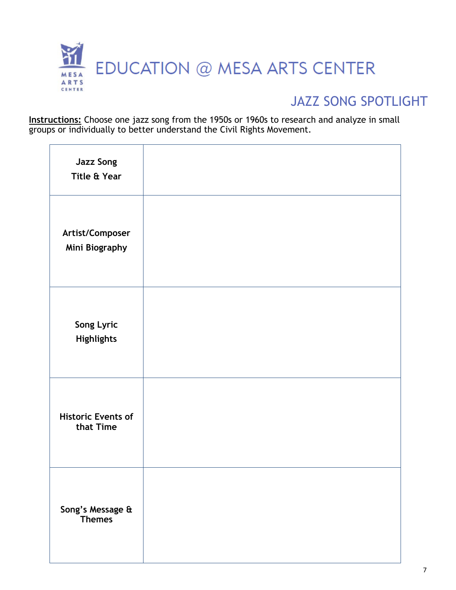

## JAZZ SONG SPOTLIGHT

**Instructions:** Choose one jazz song from the 1950s or 1960s to research and analyze in small groups or individually to better understand the Civil Rights Movement.

| <b>Jazz Song</b><br>Title & Year       |  |
|----------------------------------------|--|
| Artist/Composer<br>Mini Biography      |  |
| Song Lyric<br><b>Highlights</b>        |  |
| <b>Historic Events of</b><br>that Time |  |
| Song's Message &<br>Themes             |  |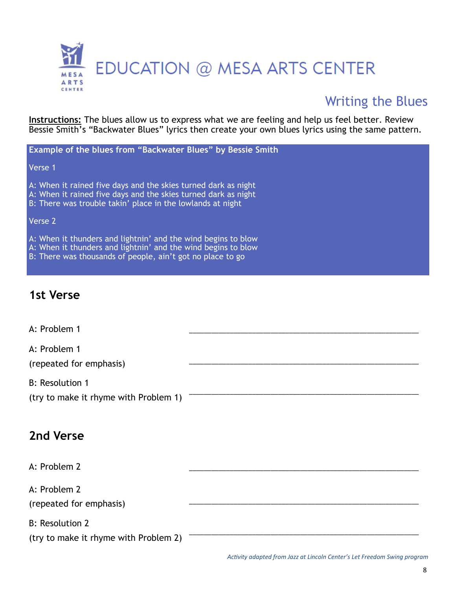

### Writing the Blues

**Instructions:** The blues allow us to express what we are feeling and help us feel better. Review Bessie Smith's "Backwater Blues" lyrics then create your own blues lyrics using the same pattern.

**Example of the blues from "Backwater Blues" by Bessie Smith**

Verse 1

A: When it rained five days and the skies turned dark as night A: When it rained five days and the skies turned dark as night B: There was trouble takin' place in the lowlands at night

Verse 2

A: When it thunders and lightnin' and the wind begins to blow A: When it thunders and lightnin' and the wind begins to blow B: There was thousands of people, ain't got no place to go

#### **1st Verse**

A: Problem 1 \_\_\_\_\_\_\_\_\_\_\_\_\_\_\_\_\_\_\_\_\_\_\_\_\_\_\_\_\_\_\_\_\_\_\_\_\_\_\_\_\_\_\_\_\_\_\_\_\_\_\_\_\_\_\_\_\_\_\_\_\_\_

A: Problem 1

(repeated for emphasis)

B: Resolution 1

(try to make it rhyme with Problem 1)

#### **2nd Verse**

A: Problem 2 \_\_\_\_\_\_\_\_\_\_\_\_\_\_\_\_\_\_\_\_\_\_\_\_\_\_\_\_\_\_\_\_\_\_\_\_\_\_\_\_\_\_\_\_\_\_\_\_\_\_\_\_\_\_\_\_\_\_\_\_\_\_

A: Problem 2

(repeated for emphasis)

B: Resolution 2

(try to make it rhyme with Problem 2)

*[Activity adapted from Jazz at Lincoln Center](https://www.youtube.com/watch?v=aBg_gQxAShM&feature=youtu.be)'s Let Freedom Swing program*

\_\_\_\_\_\_\_\_\_\_\_\_\_\_\_\_\_\_\_\_\_\_\_\_\_\_\_\_\_\_\_\_\_\_\_\_\_\_\_\_\_\_\_\_\_\_\_\_\_\_\_\_\_\_\_\_\_\_\_\_\_\_

\_\_\_\_\_\_\_\_\_\_\_\_\_\_\_\_\_\_\_\_\_\_\_\_\_\_\_\_\_\_\_\_\_\_\_\_\_\_\_\_\_\_\_\_\_\_\_\_\_\_\_\_\_\_\_\_\_\_\_\_\_\_